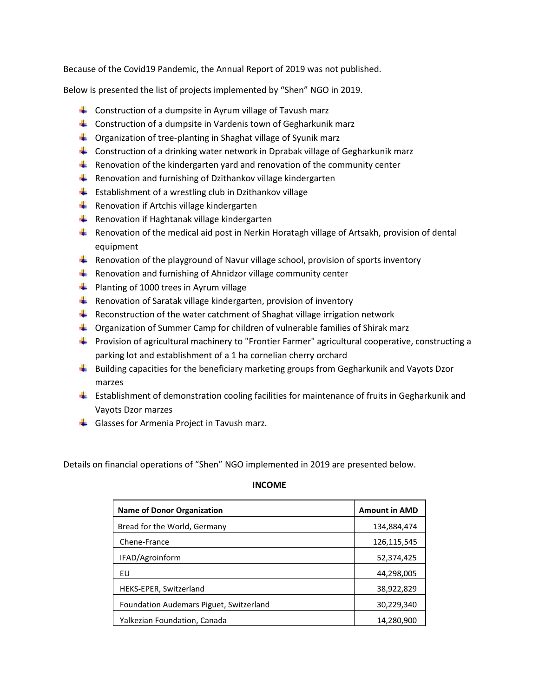Because of the Covid19 Pandemic, the Annual Report of 2019 was not published.

Below is presented the list of projects implemented by "Shen" NGO in 2019.

- $\downarrow$  Construction of a dumpsite in Ayrum village of Tavush marz
- **Construction of a dumpsite in Vardenis town of Gegharkunik marz**
- $\downarrow$  Organization of tree-planting in Shaghat village of Syunik marz
- **Construction of a drinking water network in Dprabak village of Gegharkunik marz**
- **Renovation of the kindergarten yard and renovation of the community center**
- $\ddot{\phantom{1}}$  Renovation and furnishing of Dzithankov village kindergarten
- $\frac{1}{2}$  Establishment of a wrestling club in Dzithankov village
- $\overline{\phantom{a} \bullet}$  Renovation if Artchis village kindergarten
- Renovation if Haghtanak village kindergarten
- **Renovation of the medical aid post in Nerkin Horatagh village of Artsakh, provision of dental** equipment
- **Renovation of the playground of Navur village school, provision of sports inventory**
- Renovation and furnishing of Ahnidzor village community center
- $\bigstar$  Planting of 1000 trees in Ayrum village
- **Renovation of Saratak village kindergarten, provision of inventory**
- $\blacksquare$  Reconstruction of the water catchment of Shaghat village irrigation network
- Organization of Summer Camp for children of vulnerable families of Shirak marz
- **Provision of agricultural machinery to "Frontier Farmer" agricultural cooperative, constructing a** parking lot and establishment of a 1 ha cornelian cherry orchard
- $\ddot{\phantom{1}}$  Building capacities for the beneficiary marketing groups from Gegharkunik and Vayots Dzor marzes
- Establishment of demonstration cooling facilities for maintenance of fruits in Gegharkunik and Vayots Dzor marzes
- $\triangleq$  Glasses for Armenia Project in Tavush marz.

Details on financial operations of "Shen" NGO implemented in 2019 are presented below.

## **INCOME**

| <b>Name of Donor Organization</b>       | <b>Amount in AMD</b> |
|-----------------------------------------|----------------------|
| Bread for the World, Germany            | 134,884,474          |
| Chene-France                            | 126,115,545          |
| IFAD/Agroinform                         | 52,374,425           |
| EU                                      | 44,298,005           |
| HEKS-EPER, Switzerland                  | 38,922,829           |
| Foundation Audemars Piguet, Switzerland | 30,229,340           |
| Yalkezian Foundation, Canada            | 14,280,900           |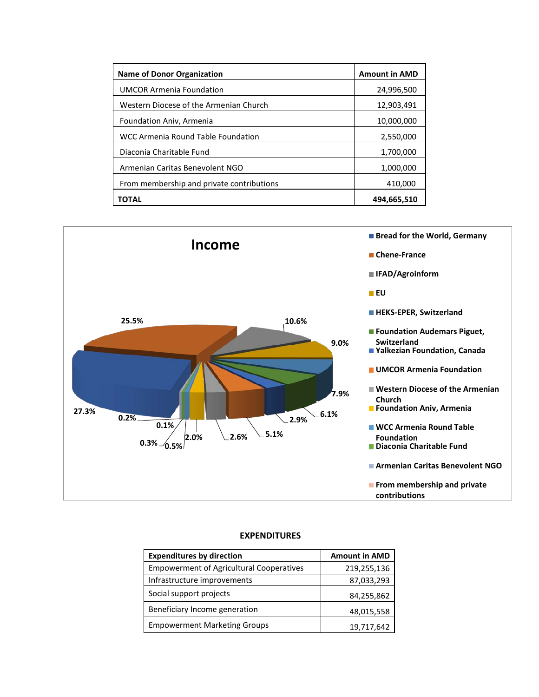| <b>Name of Donor Organization</b>         | <b>Amount in AMD</b> |
|-------------------------------------------|----------------------|
| <b>UMCOR Armenia Foundation</b>           | 24,996,500           |
| Western Diocese of the Armenian Church    | 12,903,491           |
| Foundation Aniv, Armenia                  | 10,000,000           |
| WCC Armenia Round Table Foundation        | 2,550,000            |
| Diaconia Charitable Fund                  | 1,700,000            |
| Armenian Caritas Benevolent NGO           | 1,000,000            |
| From membership and private contributions | 410,000              |
| ΤΟΤΑL                                     | 494,665,510          |



## **EXPENDITURES**

| <b>Expenditures by direction</b>                | <b>Amount in AMD</b> |
|-------------------------------------------------|----------------------|
| <b>Empowerment of Agricultural Cooperatives</b> | 219,255,136          |
| Infrastructure improvements                     | 87,033,293           |
| Social support projects                         | 84,255,862           |
| Beneficiary Income generation                   | 48,015,558           |
| <b>Empowerment Marketing Groups</b>             | 19,717,642           |